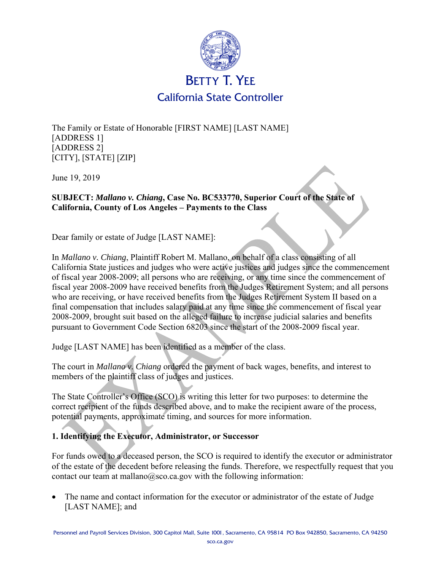

The Family or Estate of Honorable [FIRST NAME] [LAST NAME] [ADDRESS 1] [ADDRESS 2] [CITY], [STATE] [ZIP]

June 19, 2019

## **SUBJECT:** *Mallano v. Chiang***, Case No. BC533770, Superior Court of the State of California, County of Los Angeles – Payments to the Class**

Dear family or estate of Judge [LAST NAME]:

In *Mallano v. Chiang*, Plaintiff Robert M. Mallano, on behalf of a class consisting of all California State justices and judges who were active justices and judges since the commencement of fiscal year 2008-2009; all persons who are receiving, or any time since the commencement of fiscal year 2008-2009 have received benefits from the Judges Retirement System; and all persons who are receiving, or have received benefits from the Judges Retirement System II based on a final compensation that includes salary paid at any time since the commencement of fiscal year 2008-2009, brought suit based on the alleged failure to increase judicial salaries and benefits pursuant to Government Code Section 68203 since the start of the 2008-2009 fiscal year.

Judge [LAST NAME] has been identified as a member of the class.

The court in *Mallano v. Chiang* ordered the payment of back wages, benefits, and interest to members of the plaintiff class of judges and justices.

The State Controller's Office (SCO) is writing this letter for two purposes: to determine the correct recipient of the funds described above, and to make the recipient aware of the process, potential payments, approximate timing, and sources for more information.

## **1. Identifying the Executor, Administrator, or Successor**

For funds owed to a deceased person, the SCO is required to identify the executor or administrator of the estate of the decedent before releasing the funds. Therefore, we respectfully request that you contact our team at mallano $@$ sco.ca.gov with the following information:

 The name and contact information for the executor or administrator of the estate of Judge [LAST NAME]; and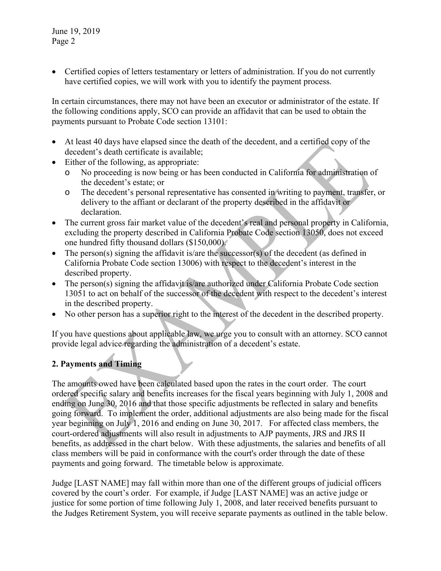June 19, 2019 Page 2

• Certified copies of letters testamentary or letters of administration. If you do not currently have certified copies, we will work with you to identify the payment process.

In certain circumstances, there may not have been an executor or administrator of the estate. If the following conditions apply, SCO can provide an affidavit that can be used to obtain the payments pursuant to Probate Code section 13101:

- At least 40 days have elapsed since the death of the decedent, and a certified copy of the decedent's death certificate is available;
- Either of the following, as appropriate:
	- o No proceeding is now being or has been conducted in California for administration of the decedent's estate; or
	- o The decedent's personal representative has consented in writing to payment, transfer, or delivery to the affiant or declarant of the property described in the affidavit or declaration.
- The current gross fair market value of the decedent's real and personal property in California, excluding the property described in California Probate Code section 13050, does not exceed one hundred fifty thousand dollars (\$150,000).
- $\bullet$  The person(s) signing the affidavit is/are the successor(s) of the decedent (as defined in California Probate Code section 13006) with respect to the decedent's interest in the described property.
- The person(s) signing the affidavit is/are authorized under California Probate Code section 13051 to act on behalf of the successor of the decedent with respect to the decedent's interest in the described property.
- No other person has a superior right to the interest of the decedent in the described property.

If you have questions about applicable law, we urge you to consult with an attorney. SCO cannot provide legal advice regarding the administration of a decedent's estate.

## **2. Payments and Timing**

The amounts owed have been calculated based upon the rates in the court order. The court ordered specific salary and benefits increases for the fiscal years beginning with July 1, 2008 and ending on June 30, 2016 and that those specific adjustments be reflected in salary and benefits going forward. To implement the order, additional adjustments are also being made for the fiscal year beginning on July 1, 2016 and ending on June 30, 2017. For affected class members, the court-ordered adjustments will also result in adjustments to AJP payments, JRS and JRS II benefits, as addressed in the chart below. With these adjustments, the salaries and benefits of all class members will be paid in conformance with the court's order through the date of these payments and going forward. The timetable below is approximate.

Judge [LAST NAME] may fall within more than one of the different groups of judicial officers covered by the court's order. For example, if Judge [LAST NAME] was an active judge or justice for some portion of time following July 1, 2008, and later received benefits pursuant to the Judges Retirement System, you will receive separate payments as outlined in the table below.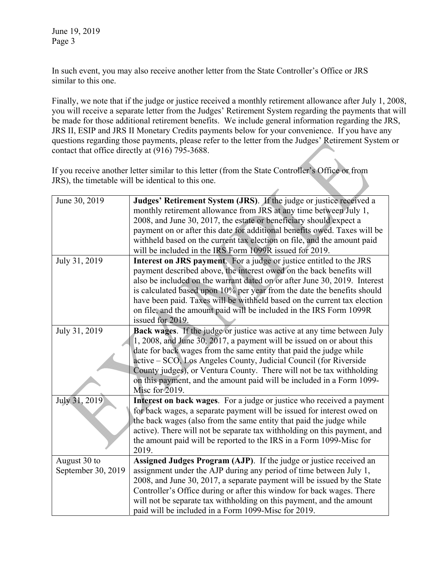June 19, 2019 Page 3

In such event, you may also receive another letter from the State Controller's Office or JRS similar to this one.

Finally, we note that if the judge or justice received a monthly retirement allowance after July 1, 2008, you will receive a separate letter from the Judges' Retirement System regarding the payments that will be made for those additional retirement benefits. We include general information regarding the JRS, JRS II, ESIP and JRS II Monetary Credits payments below for your convenience. If you have any questions regarding those payments, please refer to the letter from the Judges' Retirement System or contact that office directly at (916) 795-3688.

If you receive another letter similar to this letter (from the State Controller's Office or from JRS), the timetable will be identical to this one.

| June 30, 2019      | Judges' Retirement System (JRS). If the judge or justice received a         |
|--------------------|-----------------------------------------------------------------------------|
|                    | monthly retirement allowance from JRS at any time between July 1,           |
|                    | 2008, and June 30, 2017, the estate or beneficiary should expect a          |
|                    | payment on or after this date for additional benefits owed. Taxes will be   |
|                    | withheld based on the current tax election on file, and the amount paid     |
|                    | will be included in the IRS Form 1099R issued for 2019.                     |
| July 31, 2019      | Interest on JRS payment. For a judge or justice entitled to the JRS         |
|                    | payment described above, the interest owed on the back benefits will        |
|                    | also be included on the warrant dated on or after June 30, 2019. Interest   |
|                    | is calculated based upon 10% per year from the date the benefits should     |
|                    | have been paid. Taxes will be withheld based on the current tax election    |
|                    | on file, and the amount paid will be included in the IRS Form 1099R         |
|                    | issued for 2019.                                                            |
| July 31, 2019      | Back wages. If the judge or justice was active at any time between July     |
|                    | $1, 2008$ , and June $30, 2017$ , a payment will be issued on or about this |
|                    | date for back wages from the same entity that paid the judge while          |
|                    | active - SCO, Los Angeles County, Judicial Council (for Riverside           |
|                    | County judges), or Ventura County. There will not be tax withholding        |
|                    | on this payment, and the amount paid will be included in a Form 1099-       |
|                    | Misc for 2019.                                                              |
| July 31, 2019      | Interest on back wages. For a judge or justice who received a payment       |
|                    | for back wages, a separate payment will be issued for interest owed on      |
|                    | the back wages (also from the same entity that paid the judge while         |
|                    | active). There will not be separate tax withholding on this payment, and    |
|                    | the amount paid will be reported to the IRS in a Form 1099-Misc for         |
|                    | 2019.                                                                       |
| August 30 to       | Assigned Judges Program (AJP). If the judge or justice received an          |
| September 30, 2019 | assignment under the AJP during any period of time between July 1,          |
|                    | 2008, and June 30, 2017, a separate payment will be issued by the State     |
|                    | Controller's Office during or after this window for back wages. There       |
|                    | will not be separate tax withholding on this payment, and the amount        |
|                    | paid will be included in a Form 1099-Misc for 2019.                         |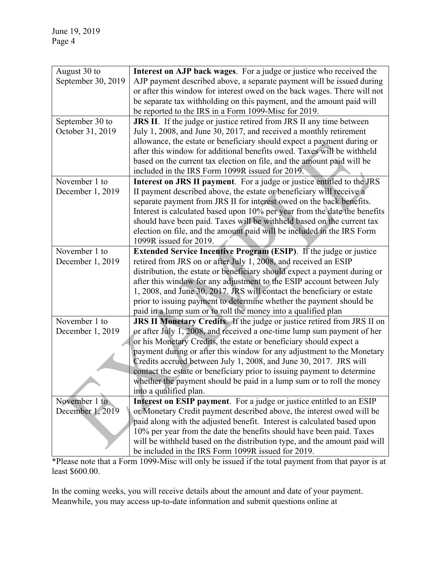| August 30 to       | Interest on AJP back wages. For a judge or justice who received the             |
|--------------------|---------------------------------------------------------------------------------|
| September 30, 2019 | AJP payment described above, a separate payment will be issued during           |
|                    | or after this window for interest owed on the back wages. There will not        |
|                    | be separate tax withholding on this payment, and the amount paid will           |
|                    |                                                                                 |
|                    | be reported to the IRS in a Form 1099-Misc for 2019.                            |
| September 30 to    | <b>JRS II</b> . If the judge or justice retired from JRS II any time between    |
| October 31, 2019   | July 1, 2008, and June 30, 2017, and received a monthly retirement              |
|                    | allowance, the estate or beneficiary should expect a payment during or          |
|                    | after this window for additional benefits owed. Taxes will be withheld          |
|                    | based on the current tax election on file, and the amount paid will be          |
|                    | included in the IRS Form 1099R issued for 2019.                                 |
| November 1 to      | <b>Interest on JRS II payment</b> . For a judge or justice entitled to the JRS  |
|                    |                                                                                 |
| December 1, 2019   | II payment described above, the estate or beneficiary will receive a            |
|                    | separate payment from JRS II for interest owed on the back benefits.            |
|                    | Interest is calculated based upon 10% per year from the date the benefits       |
|                    | should have been paid. Taxes will be withheld based on the current tax          |
|                    | election on file, and the amount paid will be included in the IRS Form          |
|                    | 1099R issued for 2019.                                                          |
| November 1 to      | <b>Extended Service Incentive Program (ESIP).</b> If the judge or justice       |
| December 1, 2019   | retired from JRS on or after July 1, 2008, and received an ESIP                 |
|                    | distribution, the estate or beneficiary should expect a payment during or       |
|                    | after this window for any adjustment to the ESIP account between July           |
|                    | 1, 2008, and June 30, 2017. JRS will contact the beneficiary or estate          |
|                    | prior to issuing payment to determine whether the payment should be             |
|                    | paid in a lump sum or to roll the money into a qualified plan                   |
| November 1 to      | <b>JRS II Monetary Credits</b> . If the judge or justice retired from JRS II on |
|                    |                                                                                 |
| December 1, 2019   | or after July 1, 2008, and received a one-time lump sum payment of her          |
|                    | or his Monetary Credits, the estate or beneficiary should expect a              |
|                    | payment during or after this window for any adjustment to the Monetary          |
|                    | Credits accrued between July 1, 2008, and June 30, 2017. JRS will               |
|                    | contact the estate or beneficiary prior to issuing payment to determine         |
|                    | whether the payment should be paid in a lump sum or to roll the money           |
|                    | into a qualified plan.                                                          |
| November 1 to      | Interest on ESIP payment. For a judge or justice entitled to an ESIP            |
| December 1, 2019   | or Monetary Credit payment described above, the interest owed will be           |
|                    | paid along with the adjusted benefit. Interest is calculated based upon         |
|                    | 10% per year from the date the benefits should have been paid. Taxes            |
|                    | will be withheld based on the distribution type, and the amount paid will       |
|                    | be included in the IRS Form 1099R issued for 2019.                              |
|                    |                                                                                 |

\*Please note that a Form 1099-Misc will only be issued if the total payment from that payor is at least \$600.00.

In the coming weeks, you will receive details about the amount and date of your payment. Meanwhile, you may access up-to-date information and submit questions online at